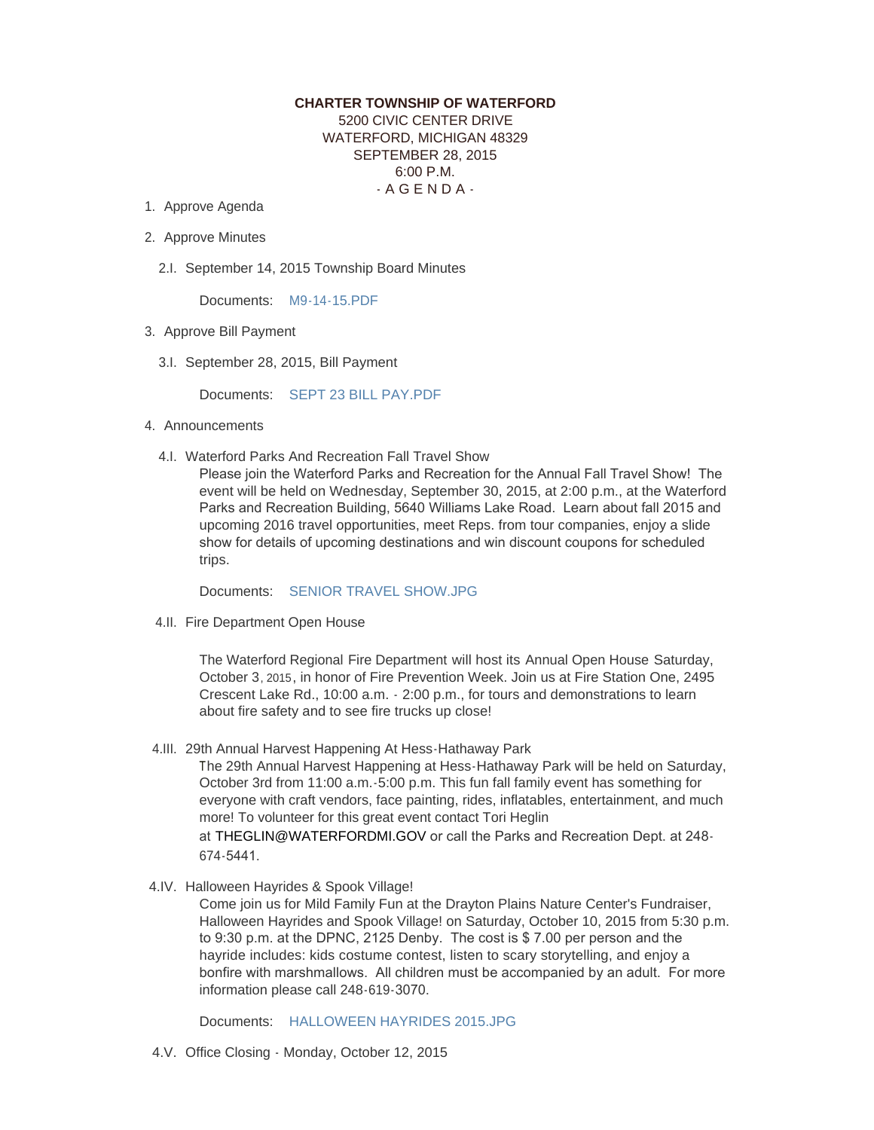## **CHARTER TOWNSHIP OF WATERFORD** 5200 CIVIC CENTER DRIVE WATERFORD, MICHIGAN 48329 SEPTEMBER 28, 2015 6:00 P.M.

 $-$  A G E N D A  $-$ 

- 1. Approve Agenda
- 2. Approve Minutes
	- 2.I. September 14, 2015 Township Board Minutes

Documents: [M9-14-15.PDF](http://mi-waterford.civicplus.com/AgendaCenter/ViewFile/Item/142?fileID=2143)

- 3. Approve Bill Payment
	- 3.I. September 28, 2015, Bill Payment

Documents: [SEPT 23 BILL PAY.PDF](http://mi-waterford.civicplus.com/AgendaCenter/ViewFile/Item/161?fileID=2176)

- 4. Announcements
	- 4.I. Waterford Parks And Recreation Fall Travel Show

Please join the Waterford Parks and Recreation for the Annual Fall Travel Show! The event will be held on Wednesday, September 30, 2015, at 2:00 p.m., at the Waterford Parks and Recreation Building, 5640 Williams Lake Road. Learn about fall 2015 and upcoming 2016 travel opportunities, meet Reps. from tour companies, enjoy a slide show for details of upcoming destinations and win discount coupons for scheduled trips.

Documents: [SENIOR TRAVEL SHOW.JPG](http://mi-waterford.civicplus.com/AgendaCenter/ViewFile/Item/143?fileID=2145)

4.II. Fire Department Open House

The Waterford Regional Fire Department will host its Annual Open House Saturday, October 3, 2015, in honor of Fire Prevention Week. Join us at Fire Station One, 2495 Crescent Lake Rd., 10:00 a.m. - 2:00 p.m., for tours and demonstrations to learn about fire safety and to see fire trucks up close!

4.III. 29th Annual Harvest Happening At Hess-Hathaway Park

The 29th Annual Harvest Happening at Hess-Hathaway Park will be held on Saturday, October 3rd from 11:00 a.m.-5:00 p.m. This fun fall family event has something for everyone with craft vendors, face painting, rides, inflatables, entertainment, and much more! To volunteer for this great event contact Tori Heglin

at [THEGLIN@WATERFORDMI.GOV](mailto:theglin@waterfordmi.gov) or call the Parks and Recreation Dept. at 248- 674-5441.

4.IV. Halloween Hayrides & Spook Village!

Come join us for Mild Family Fun at the Drayton Plains Nature Center's Fundraiser, Halloween Hayrides and Spook Village! on Saturday, October 10, 2015 from 5:30 p.m. to 9:30 p.m. at the DPNC, 2125 Denby. The cost is \$ 7.00 per person and the hayride includes: kids costume contest, listen to scary storytelling, and enjoy a bonfire with marshmallows. All children must be accompanied by an adult. For more information please call 248-619-3070.

Documents: [HALLOWEEN HAYRIDES 2015.JPG](http://mi-waterford.civicplus.com/AgendaCenter/ViewFile/Item/145?fileID=2144)

4.V. Office Closing - Monday, October 12, 2015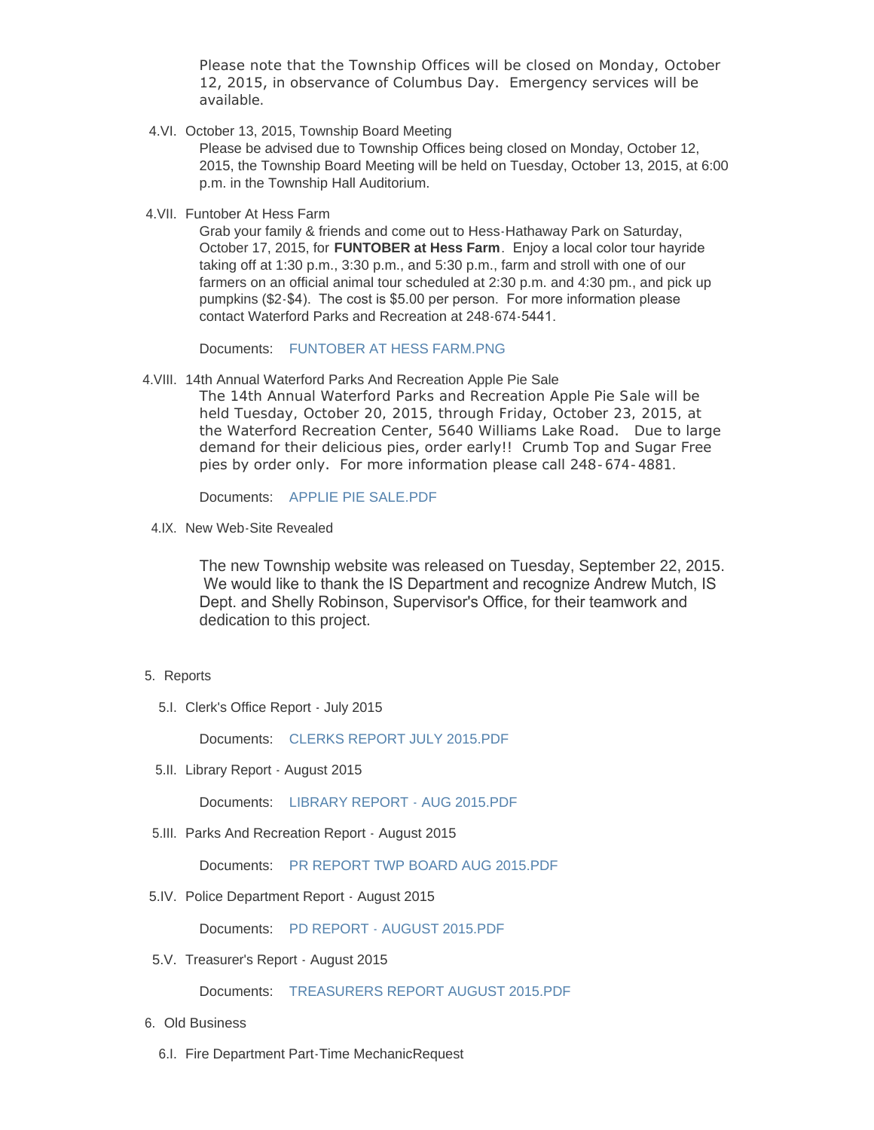Please note that the Township Offices will be closed on Monday, October 12, 2015, in observance of Columbus Day. Emergency services will be available.

4.VI. October 13, 2015, Township Board Meeting

Please be advised due to Township Offices being closed on Monday, October 12, 2015, the Township Board Meeting will be held on Tuesday, October 13, 2015, at 6:00 p.m. in the Township Hall Auditorium.

4.VII. Funtober At Hess Farm

Grab your family & friends and come out to Hess-Hathaway Park on Saturday, October 17, 2015, for **FUNTOBER at Hess Farm**. Enjoy a local color tour hayride taking off at 1:30 p.m., 3:30 p.m., and 5:30 p.m., farm and stroll with one of our farmers on an official animal tour scheduled at 2:30 p.m. and 4:30 pm., and pick up pumpkins (\$2-\$4). The cost is \$5.00 per person. For more information please contact Waterford Parks and Recreation at 248-674-5441.

Documents: [FUNTOBER AT HESS FARM.PNG](http://mi-waterford.civicplus.com/AgendaCenter/ViewFile/Item/144?fileID=2146)

4. VIII. 14th Annual Waterford Parks And Recreation Apple Pie Sale

The 14th Annual Waterford Parks and Recreation Apple Pie Sale will be held Tuesday, October 20, 2015, through Friday, October 23, 2015, at the Waterford Recreation Center, 5640 Williams Lake Road. Due to large demand for their delicious pies, order early!! Crumb Top and Sugar Free pies by order only. For more information please call 248-674-4881.

Documents: [APPLIE PIE SALE.PDF](http://mi-waterford.civicplus.com/AgendaCenter/ViewFile/Item/148?fileID=2148)

4.IX. New Web-Site Revealed

The new Township website was released on Tuesday, September 22, 2015. We would like to thank the IS Department and recognize Andrew Mutch, IS Dept. and Shelly Robinson, Supervisor's Office, for their teamwork and dedication to this project.

- 5. Reports
	- 5.I. Clerk's Office Report July 2015

Documents: [CLERKS REPORT JULY 2015.PDF](http://mi-waterford.civicplus.com/AgendaCenter/ViewFile/Item/120?fileID=825)

5.II. Library Report - August 2015

Documents: [LIBRARY REPORT - AUG 2015.PDF](http://mi-waterford.civicplus.com/AgendaCenter/ViewFile/Item/137?fileID=2064)

5.III. Parks And Recreation Report - August 2015

Documents: [PR REPORT TWP BOARD AUG 2015.PDF](http://mi-waterford.civicplus.com/AgendaCenter/ViewFile/Item/158?fileID=2169)

5.IV. Police Department Report - August 2015

Documents: [PD REPORT - AUGUST 2015.PDF](http://mi-waterford.civicplus.com/AgendaCenter/ViewFile/Item/155?fileID=2152)

5.V. Treasurer's Report - August 2015

Documents: [TREASURERS REPORT AUGUST 2015.PDF](http://mi-waterford.civicplus.com/AgendaCenter/ViewFile/Item/131?fileID=826)

- 6. Old Business
	- 6.I. Fire Department Part-Time MechanicRequest